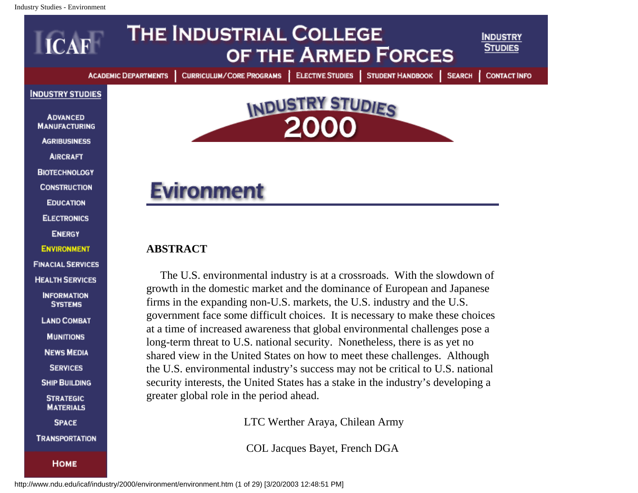

<span id="page-0-0"></span>**MUNITIONS** 

**NEWS MEDIA** 

**SERVICES** 

**SHIP BUILDING** 

**STRATEGIC MATERIALS** 

**SPACE** 

**TRANSPORTATION** 

**НОМЕ** 

shared view in the United States on how to meet these challenges. Although the U.S. environmental industry's success may not be critical to U.S. national security interests, the United States has a stake in the industry's developing a greater global role in the period ahead.

at a time of increased awareness that global environmental challenges pose a long-term threat to U.S. national security. Nonetheless, there is as yet no

LTC Werther Araya, Chilean Army

COL Jacques Bayet, French DGA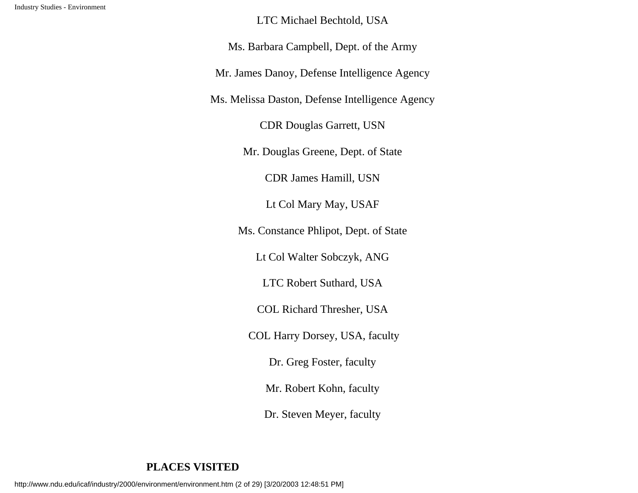LTC Michael Bechtold, USA

Ms. Barbara Campbell, Dept. of the Army

Mr. James Danoy, Defense Intelligence Agency

Ms. Melissa Daston, Defense Intelligence Agency

CDR Douglas Garrett, USN

Mr. Douglas Greene, Dept. of State

CDR James Hamill, USN

Lt Col Mary May, USAF

Ms. Constance Phlipot, Dept. of State

Lt Col Walter Sobczyk, ANG

LTC Robert Suthard, USA

COL Richard Thresher, USA

COL Harry Dorsey, USA, faculty

Dr. Greg Foster, faculty

Mr. Robert Kohn, faculty

Dr. Steven Meyer, faculty

# **PLACES VISITED**

http://www.ndu.edu/icaf/industry/2000/environment/environment.htm (2 of 29) [3/20/2003 12:48:51 PM]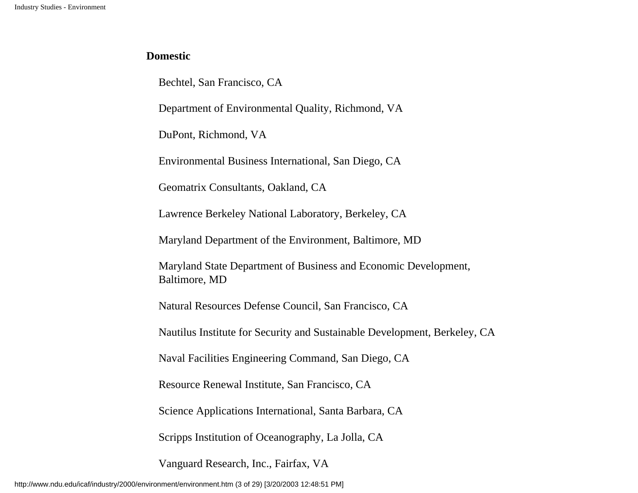# **Domestic**

Bechtel, San Francisco, CA

Department of Environmental Quality, Richmond, VA

DuPont, Richmond, VA

Environmental Business International, San Diego, CA

Geomatrix Consultants, Oakland, CA

Lawrence Berkeley National Laboratory, Berkeley, CA

Maryland Department of the Environment, Baltimore, MD

Maryland State Department of Business and Economic Development, Baltimore, MD

Natural Resources Defense Council, San Francisco, CA

Nautilus Institute for Security and Sustainable Development, Berkeley, CA

Naval Facilities Engineering Command, San Diego, CA

Resource Renewal Institute, San Francisco, CA

Science Applications International, Santa Barbara, CA

Scripps Institution of Oceanography, La Jolla, CA

Vanguard Research, Inc., Fairfax, VA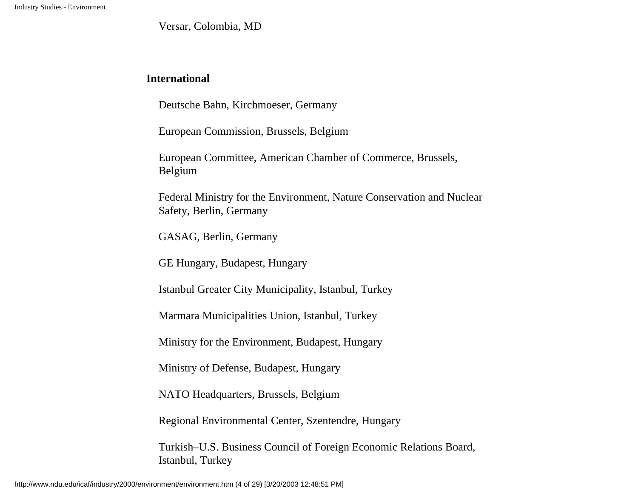Versar, Colombia, MD

# **International**

Deutsche Bahn, Kirchmoeser, Germany

European Commission, Brussels, Belgium

European Committee, American Chamber of Commerce, Brussels, Belgium

Federal Ministry for the Environment, Nature Conservation and Nuclear Safety, Berlin, Germany

GASAG, Berlin, Germany

GE Hungary, Budapest, Hungary

Istanbul Greater City Municipality, Istanbul, Turkey

Marmara Municipalities Union, Istanbul, Turkey

Ministry for the Environment, Budapest, Hungary

Ministry of Defense, Budapest, Hungary

NATO Headquarters, Brussels, Belgium

Regional Environmental Center, Szentendre, Hungary

Turkish–U.S. Business Council of Foreign Economic Relations Board, Istanbul, Turkey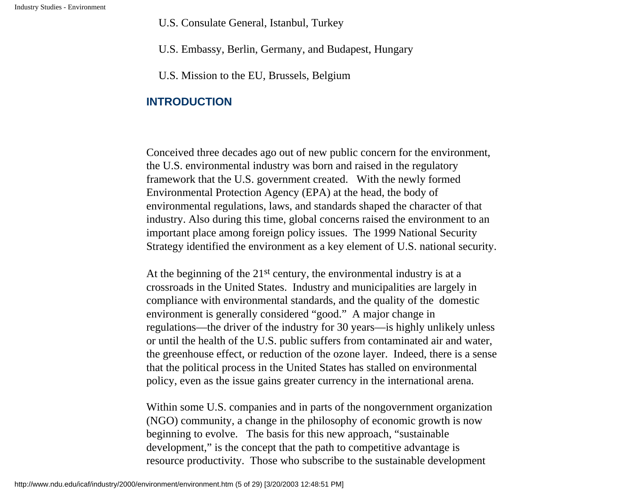U.S. Consulate General, Istanbul, Turkey

U.S. Embassy, Berlin, Germany, and Budapest, Hungary

U.S. Mission to the EU, Brussels, Belgium

# **INTRODUCTION**

Conceived three decades ago out of new public concern for the environment, the U.S. environmental industry was born and raised in the regulatory framework that the U.S. government created. With the newly formed Environmental Protection Agency (EPA) at the head, the body of environmental regulations, laws, and standards shaped the character of that industry. Also during this time, global concerns raised the environment to an important place among foreign policy issues. The 1999 National Security Strategy identified the environment as a key element of U.S. national security.

At the beginning of the  $21<sup>st</sup>$  century, the environmental industry is at a crossroads in the United States. Industry and municipalities are largely in compliance with environmental standards, and the quality of the domestic environment is generally considered "good." A major change in regulations—the driver of the industry for 30 years—is highly unlikely unless or until the health of the U.S. public suffers from contaminated air and water, the greenhouse effect, or reduction of the ozone layer. Indeed, there is a sense that the political process in the United States has stalled on environmental policy, even as the issue gains greater currency in the international arena.

Within some U.S. companies and in parts of the nongovernment organization (NGO) community, a change in the philosophy of economic growth is now beginning to evolve. The basis for this new approach, "sustainable development," is the concept that the path to competitive advantage is resource productivity. Those who subscribe to the sustainable development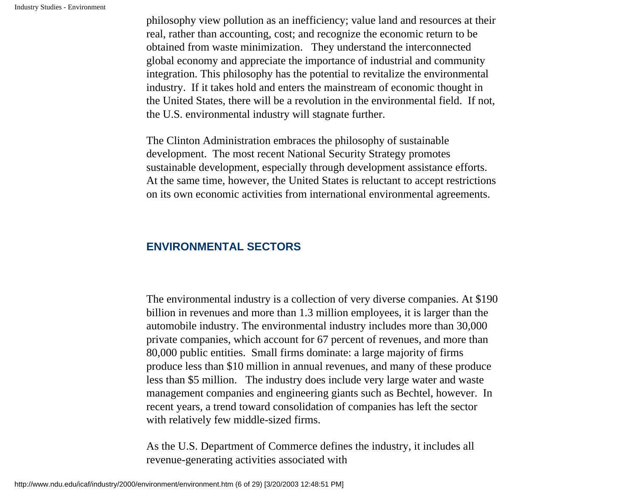philosophy view pollution as an inefficiency; value land and resources at their real, rather than accounting, cost; and recognize the economic return to be obtained from waste minimization. They understand the interconnected global economy and appreciate the importance of industrial and community integration. This philosophy has the potential to revitalize the environmental industry. If it takes hold and enters the mainstream of economic thought in the United States, there will be a revolution in the environmental field. If not, the U.S. environmental industry will stagnate further.

The Clinton Administration embraces the philosophy of sustainable development. The most recent National Security Strategy promotes sustainable development, especially through development assistance efforts. At the same time, however, the United States is reluctant to accept restrictions on its own economic activities from international environmental agreements.

# **ENVIRONMENTAL SECTORS**

The environmental industry is a collection of very diverse companies. At \$190 billion in revenues and more than 1.3 million employees, it is larger than the automobile industry. The environmental industry includes more than 30,000 private companies, which account for 67 percent of revenues, and more than 80,000 public entities. Small firms dominate: a large majority of firms produce less than \$10 million in annual revenues, and many of these produce less than \$5 million. The industry does include very large water and waste management companies and engineering giants such as Bechtel, however. In recent years, a trend toward consolidation of companies has left the sector with relatively few middle-sized firms.

As the U.S. Department of Commerce defines the industry, it includes all revenue-generating activities associated with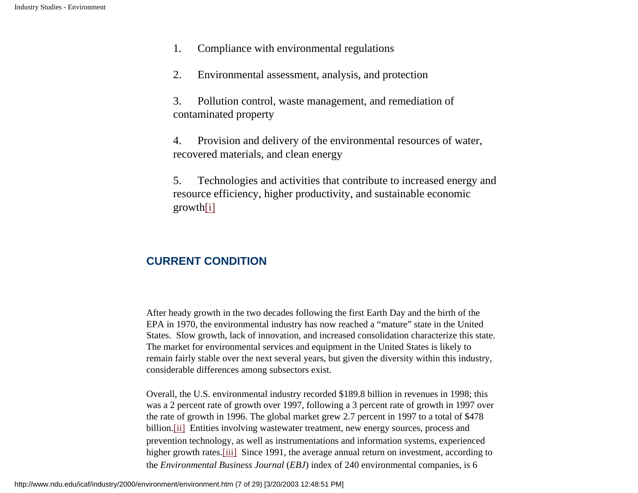- 1. Compliance with environmental regulations
- 2. Environmental assessment, analysis, and protection
- 3. Pollution control, waste management, and remediation of contaminated property
- 4. Provision and delivery of the environmental resources of water, recovered materials, and clean energy
- 5. Technologies and activities that contribute to increased energy and resource efficiency, higher productivity, and sustainable economic growt[h\[i\]](#page-26-0)

# <span id="page-6-0"></span>**CURRENT CONDITION**

After heady growth in the two decades following the first Earth Day and the birth of the EPA in 1970, the environmental industry has now reached a "mature" state in the United States. Slow growth, lack of innovation, and increased consolidation characterize this state. The market for environmental services and equipment in the United States is likely to remain fairly stable over the next several years, but given the diversity within this industry, considerable differences among subsectors exist.

<span id="page-6-2"></span><span id="page-6-1"></span>Overall, the U.S. environmental industry recorded \$189.8 billion in revenues in 1998; this was a 2 percent rate of growth over 1997, following a 3 percent rate of growth in 1997 over the rate of growth in 1996. The global market grew 2.7 percent in 1997 to a total of \$478 billion[.\[ii\]](#page-26-1) Entities involving wastewater treatment, new energy sources, process and prevention technology, as well as instrumentations and information systems, experienced higher growth rates.<sup>[iii]</sup> Since 1991, the average annual return on investment, according to the *Environmental Business Journal* (*EBJ*) index of 240 environmental companies, is 6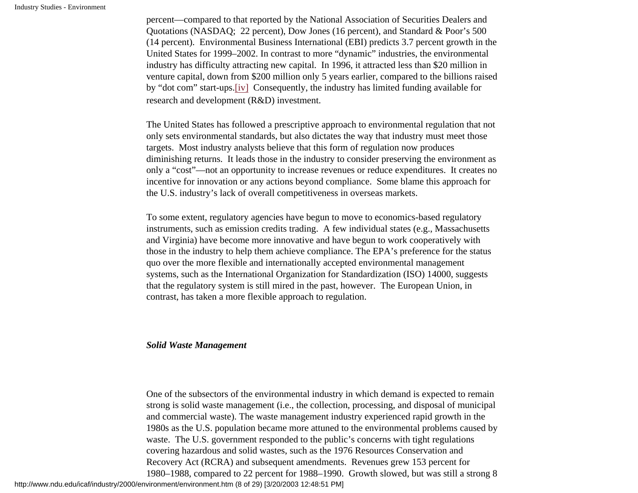percent—compared to that reported by the National Association of Securities Dealers and Quotations (NASDAQ; 22 percent), Dow Jones (16 percent), and Standard & Poor's 500 (14 percent). Environmental Business International (EBI) predicts 3.7 percent growth in the United States for 1999–2002. In contrast to more "dynamic" industries, the environmental industry has difficulty attracting new capital. In 1996, it attracted less than \$20 million in venture capital, down from \$200 million only 5 years earlier, compared to the billions raised by "dot com" start-ups.[\[iv\]](#page-26-3) Consequently, the industry has limited funding available for research and development (R&D) investment.

The United States has followed a prescriptive approach to environmental regulation that not only sets environmental standards, but also dictates the way that industry must meet those targets. Most industry analysts believe that this form of regulation now produces diminishing returns. It leads those in the industry to consider preserving the environment as only a "cost"—not an opportunity to increase revenues or reduce expenditures. It creates no incentive for innovation or any actions beyond compliance. Some blame this approach for the U.S. industry's lack of overall competitiveness in overseas markets.

To some extent, regulatory agencies have begun to move to economics-based regulatory instruments, such as emission credits trading. A few individual states (e.g., Massachusetts and Virginia) have become more innovative and have begun to work cooperatively with those in the industry to help them achieve compliance. The EPA's preference for the status quo over the more flexible and internationally accepted environmental management systems, such as the International Organization for Standardization (ISO) 14000, suggests that the regulatory system is still mired in the past, however. The European Union, in contrast, has taken a more flexible approach to regulation.

#### *Solid Waste Management*

One of the subsectors of the environmental industry in which demand is expected to remain strong is solid waste management (i.e., the collection, processing, and disposal of municipal and commercial waste). The waste management industry experienced rapid growth in the 1980s as the U.S. population became more attuned to the environmental problems caused by waste. The U.S. government responded to the public's concerns with tight regulations covering hazardous and solid wastes, such as the 1976 Resources Conservation and Recovery Act (RCRA) and subsequent amendments. Revenues grew 153 percent for 1980–1988, compared to 22 percent for 1988–1990. Growth slowed, but was still a strong 8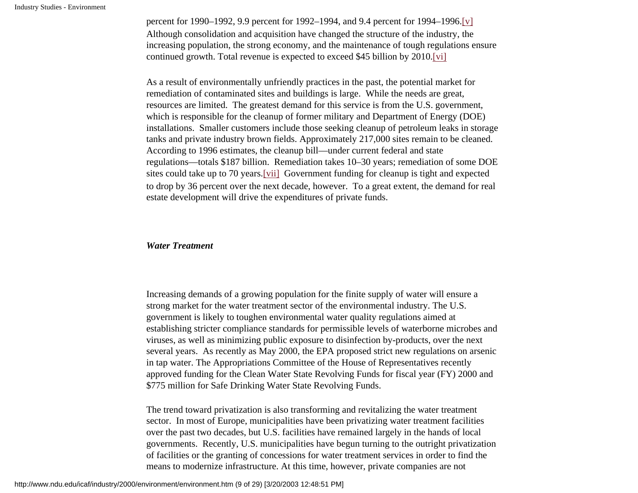<span id="page-8-0"></span>percent for 1990–1992, 9.9 percent for 1992–1994, and 9.4 percent for 1994–1996.[\[v\]](#page-26-4) Although consolidation and acquisition have changed the structure of the industry, the increasing population, the strong economy, and the maintenance of tough regulations ensure continued growth. Total revenue is expected to exceed \$45 billion by 2010[.\[vi\]](#page-26-5)

<span id="page-8-1"></span>As a result of environmentally unfriendly practices in the past, the potential market for remediation of contaminated sites and buildings is large. While the needs are great, resources are limited. The greatest demand for this service is from the U.S. government, which is responsible for the cleanup of former military and Department of Energy (DOE) installations. Smaller customers include those seeking cleanup of petroleum leaks in storage tanks and private industry brown fields. Approximately 217,000 sites remain to be cleaned. According to 1996 estimates, the cleanup bill—under current federal and state regulations—totals \$187 billion. Remediation takes 10–30 years; remediation of some DOE sites could take up to 70 years.[\[vii\]](#page-26-6) Government funding for cleanup is tight and expected to drop by 36 percent over the next decade, however. To a great extent, the demand for real estate development will drive the expenditures of private funds.

#### <span id="page-8-2"></span>*Water Treatment*

Increasing demands of a growing population for the finite supply of water will ensure a strong market for the water treatment sector of the environmental industry. The U.S. government is likely to toughen environmental water quality regulations aimed at establishing stricter compliance standards for permissible levels of waterborne microbes and viruses, as well as minimizing public exposure to disinfection by-products, over the next several years. As recently as May 2000, the EPA proposed strict new regulations on arsenic in tap water. The Appropriations Committee of the House of Representatives recently approved funding for the Clean Water State Revolving Funds for fiscal year (FY) 2000 and \$775 million for Safe Drinking Water State Revolving Funds.

The trend toward privatization is also transforming and revitalizing the water treatment sector. In most of Europe, municipalities have been privatizing water treatment facilities over the past two decades, but U.S. facilities have remained largely in the hands of local governments. Recently, U.S. municipalities have begun turning to the outright privatization of facilities or the granting of concessions for water treatment services in order to find the means to modernize infrastructure. At this time, however, private companies are not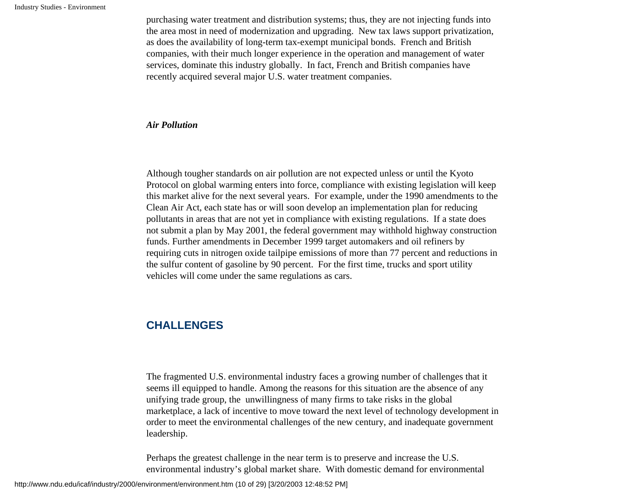purchasing water treatment and distribution systems; thus, they are not injecting funds into the area most in need of modernization and upgrading. New tax laws support privatization, as does the availability of long-term tax-exempt municipal bonds. French and British companies, with their much longer experience in the operation and management of water services, dominate this industry globally. In fact, French and British companies have recently acquired several major U.S. water treatment companies.

#### *Air Pollution*

Although tougher standards on air pollution are not expected unless or until the Kyoto Protocol on global warming enters into force, compliance with existing legislation will keep this market alive for the next several years. For example, under the 1990 amendments to the Clean Air Act, each state has or will soon develop an implementation plan for reducing pollutants in areas that are not yet in compliance with existing regulations. If a state does not submit a plan by May 2001, the federal government may withhold highway construction funds. Further amendments in December 1999 target automakers and oil refiners by requiring cuts in nitrogen oxide tailpipe emissions of more than 77 percent and reductions in the sulfur content of gasoline by 90 percent. For the first time, trucks and sport utility vehicles will come under the same regulations as cars.

# **CHALLENGES**

The fragmented U.S. environmental industry faces a growing number of challenges that it seems ill equipped to handle. Among the reasons for this situation are the absence of any unifying trade group, the unwillingness of many firms to take risks in the global marketplace, a lack of incentive to move toward the next level of technology development in order to meet the environmental challenges of the new century, and inadequate government leadership.

Perhaps the greatest challenge in the near term is to preserve and increase the U.S. environmental industry's global market share. With domestic demand for environmental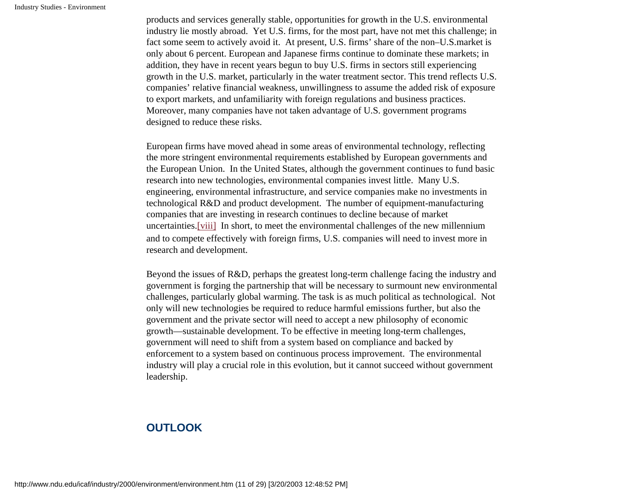products and services generally stable, opportunities for growth in the U.S. environmental industry lie mostly abroad. Yet U.S. firms, for the most part, have not met this challenge; in fact some seem to actively avoid it. At present, U.S. firms' share of the non–U.S.market is only about 6 percent. European and Japanese firms continue to dominate these markets; in addition, they have in recent years begun to buy U.S. firms in sectors still experiencing growth in the U.S. market, particularly in the water treatment sector. This trend reflects U.S. companies' relative financial weakness, unwillingness to assume the added risk of exposure to export markets, and unfamiliarity with foreign regulations and business practices. Moreover, many companies have not taken advantage of U.S. government programs designed to reduce these risks.

European firms have moved ahead in some areas of environmental technology, reflecting the more stringent environmental requirements established by European governments and the European Union. In the United States, although the government continues to fund basic research into new technologies, environmental companies invest little. Many U.S. engineering, environmental infrastructure, and service companies make no investments in technological R&D and product development. The number of equipment-manufacturing companies that are investing in research continues to decline because of market uncertainties.[\[viii\]](#page-26-7) In short, to meet the environmental challenges of the new millennium and to compete effectively with foreign firms, U.S. companies will need to invest more in research and development.

<span id="page-10-0"></span>Beyond the issues of R&D, perhaps the greatest long-term challenge facing the industry and government is forging the partnership that will be necessary to surmount new environmental challenges, particularly global warming. The task is as much political as technological. Not only will new technologies be required to reduce harmful emissions further, but also the government and the private sector will need to accept a new philosophy of economic growth—sustainable development. To be effective in meeting long-term challenges, government will need to shift from a system based on compliance and backed by enforcement to a system based on continuous process improvement. The environmental industry will play a crucial role in this evolution, but it cannot succeed without government leadership.

# **OUTLOOK**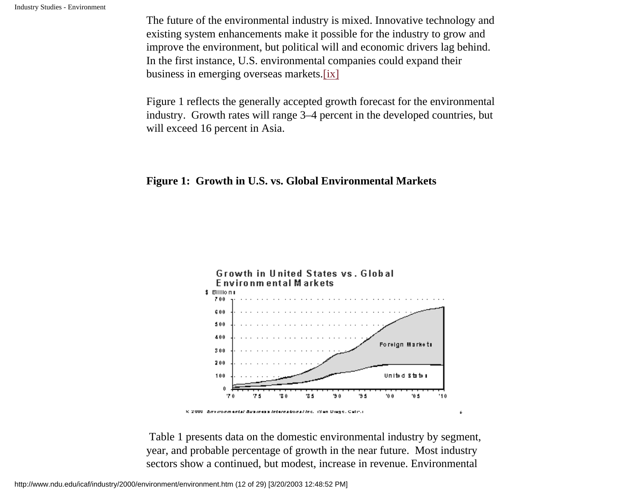The future of the environmental industry is mixed. Innovative technology and existing system enhancements make it possible for the industry to grow and improve the environment, but political will and economic drivers lag behind. In the first instance, U.S. environmental companies could expand their business in emerging overseas markets[.\[ix\]](#page-27-0)

<span id="page-11-0"></span>Figure 1 reflects the generally accepted growth forecast for the environmental industry. Growth rates will range 3–4 percent in the developed countries, but will exceed 16 percent in Asia.

# **Figure 1: Growth in U.S. vs. Global Environmental Markets**



 Table 1 presents data on the domestic environmental industry by segment, year, and probable percentage of growth in the near future. Most industry sectors show a continued, but modest, increase in revenue. Environmental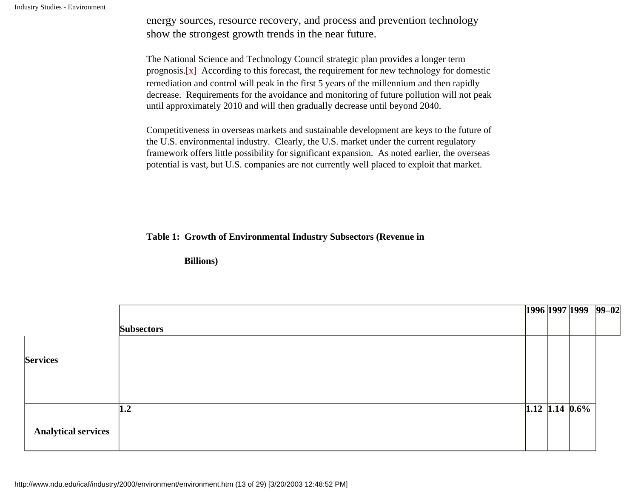energy sources, resource recovery, and process and prevention technology show the strongest growth trends in the near future.

<span id="page-12-0"></span>The National Science and Technology Council strategic plan provides a longer term prognosis. $[x]$  According to this forecast, the requirement for new technology for domestic remediation and control will peak in the first 5 years of the millennium and then rapidly decrease. Requirements for the avoidance and monitoring of future pollution will not peak until approximately 2010 and will then gradually decrease until beyond 2040.

Competitiveness in overseas markets and sustainable development are keys to the future of the U.S. environmental industry. Clearly, the U.S. market under the current regulatory framework offers little possibility for significant expansion. As noted earlier, the overseas potential is vast, but U.S. companies are not currently well placed to exploit that market.

#### **Table 1: Growth of Environmental Industry Subsectors (Revenue in**

 **Billions)** 

|                            |                   |  |                  | 1996 1997 1999 99-02 |
|----------------------------|-------------------|--|------------------|----------------------|
|                            | <b>Subsectors</b> |  |                  |                      |
|                            |                   |  |                  |                      |
| <b>Services</b>            |                   |  |                  |                      |
|                            |                   |  |                  |                      |
|                            |                   |  |                  |                      |
|                            | $\vert 1.2 \vert$ |  | $1.12$ 1.14 0.6% |                      |
| <b>Analytical services</b> |                   |  |                  |                      |
|                            |                   |  |                  |                      |

http://www.ndu.edu/icaf/industry/2000/environment/environment.htm (13 of 29) [3/20/2003 12:48:52 PM]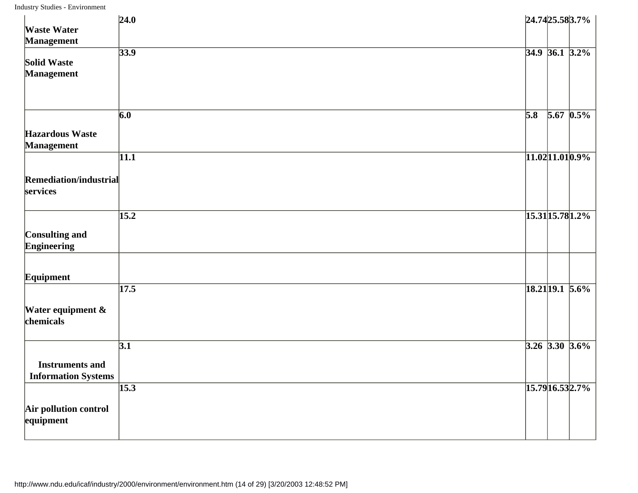| <b>Waste Water</b>                                    | 24.0              | 24.74 25.58 3.7%                |  |
|-------------------------------------------------------|-------------------|---------------------------------|--|
| <b>Management</b><br>Solid Waste<br><b>Management</b> | 33.9              | $34.9$ 36.1 $3.2\%$             |  |
| <b>Hazardous Waste</b>                                | 6.0               | $\overline{5.8}$<br>$5.67$ 0.5% |  |
| <b>Management</b><br>Remediation/industrial           | 11.1              | $11.02$ 11.01 0.9%              |  |
| services<br>Consulting and                            | $\overline{15.2}$ | 15.31 15.78 1.2%                |  |
| <b>Engineering</b><br>Equipment                       | 17.5              | $18.21$ 19.1 5.6%               |  |
| Water equipment &<br>chemicals                        |                   |                                 |  |
| <b>Instruments and</b><br><b>Information Systems</b>  | $\overline{3.1}$  | $3.26$ 3.30 3.6%                |  |
| Air pollution control<br>equipment                    | 15.3              | 15.79 16.53 2.7%                |  |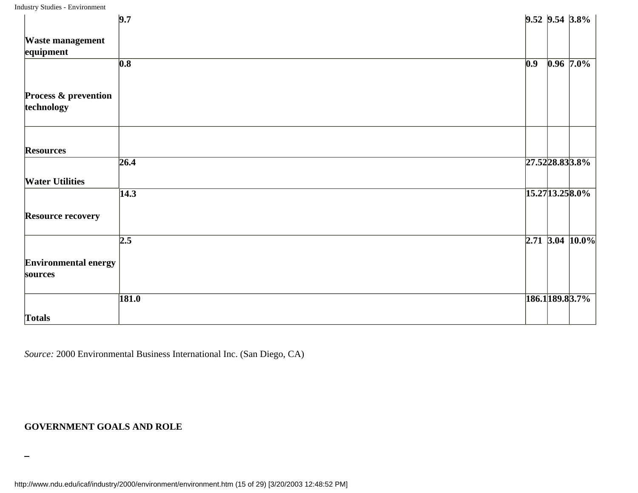|                                               | 9.7                       |                  | $9.52$ $9.54$ $3.8\%$ |
|-----------------------------------------------|---------------------------|------------------|-----------------------|
| <b>Waste management</b><br>equipment          |                           |                  |                       |
|                                               | $\overline{\textbf{0.8}}$ | $\overline{0.9}$ | $0.96$ 7.0%           |
| <b>Process &amp; prevention</b><br>technology |                           |                  |                       |
| <b>Resources</b>                              |                           |                  |                       |
| <b>Water Utilities</b>                        | 26.4                      |                  | 27.52 28.83 3.8%      |
|                                               | $\overline{14.3}$         |                  | 15.27 13.25 8.0%      |
| <b>Resource recovery</b>                      |                           |                  |                       |
|                                               | 2.5                       |                  | $2.71$ 3.04 10.0%     |
| <b>Environmental energy</b><br>sources        |                           |                  |                       |
|                                               | 181.0                     |                  | 186.1189.83.7%        |
| Totals                                        |                           |                  |                       |

*Source:* 2000 Environmental Business International Inc. (San Diego, CA)

#### **GOVERNMENT GOALS AND ROLE**

http://www.ndu.edu/icaf/industry/2000/environment/environment.htm (15 of 29) [3/20/2003 12:48:52 PM]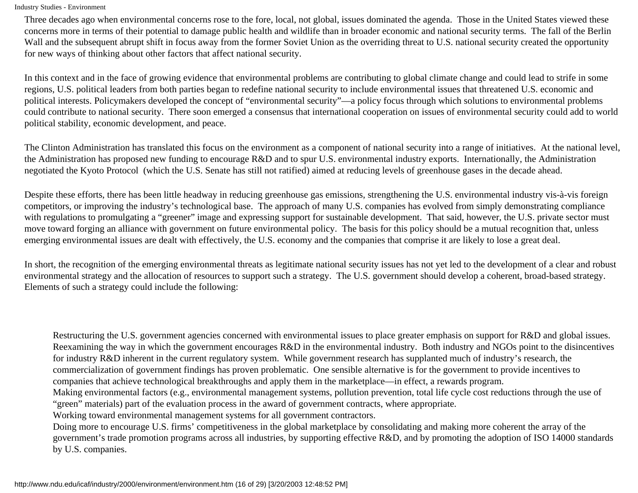Three decades ago when environmental concerns rose to the fore, local, not global, issues dominated the agenda. Those in the United States viewed these concerns more in terms of their potential to damage public health and wildlife than in broader economic and national security terms. The fall of the Berlin Wall and the subsequent abrupt shift in focus away from the former Soviet Union as the overriding threat to U.S. national security created the opportunity for new ways of thinking about other factors that affect national security.

In this context and in the face of growing evidence that environmental problems are contributing to global climate change and could lead to strife in some regions, U.S. political leaders from both parties began to redefine national security to include environmental issues that threatened U.S. economic and political interests. Policymakers developed the concept of "environmental security"—a policy focus through which solutions to environmental problems could contribute to national security. There soon emerged a consensus that international cooperation on issues of environmental security could add to world political stability, economic development, and peace.

The Clinton Administration has translated this focus on the environment as a component of national security into a range of initiatives. At the national level, the Administration has proposed new funding to encourage R&D and to spur U.S. environmental industry exports. Internationally, the Administration negotiated the Kyoto Protocol (which the U.S. Senate has still not ratified) aimed at reducing levels of greenhouse gases in the decade ahead.

Despite these efforts, there has been little headway in reducing greenhouse gas emissions, strengthening the U.S. environmental industry vis-à-vis foreign competitors, or improving the industry's technological base. The approach of many U.S. companies has evolved from simply demonstrating compliance with regulations to promulgating a "greener" image and expressing support for sustainable development. That said, however, the U.S. private sector must move toward forging an alliance with government on future environmental policy. The basis for this policy should be a mutual recognition that, unless emerging environmental issues are dealt with effectively, the U.S. economy and the companies that comprise it are likely to lose a great deal.

In short, the recognition of the emerging environmental threats as legitimate national security issues has not yet led to the development of a clear and robust environmental strategy and the allocation of resources to support such a strategy. The U.S. government should develop a coherent, broad-based strategy. Elements of such a strategy could include the following:

Restructuring the U.S. government agencies concerned with environmental issues to place greater emphasis on support for R&D and global issues. Reexamining the way in which the government encourages R&D in the environmental industry. Both industry and NGOs point to the disincentives for industry R&D inherent in the current regulatory system. While government research has supplanted much of industry's research, the commercialization of government findings has proven problematic. One sensible alternative is for the government to provide incentives to companies that achieve technological breakthroughs and apply them in the marketplace—in effect, a rewards program.

Making environmental factors (e.g., environmental management systems, pollution prevention, total life cycle cost reductions through the use of "green" materials) part of the evaluation process in the award of government contracts, where appropriate.

Working toward environmental management systems for all government contractors.

Doing more to encourage U.S. firms' competitiveness in the global marketplace by consolidating and making more coherent the array of the government's trade promotion programs across all industries, by supporting effective R&D, and by promoting the adoption of ISO 14000 standards by U.S. companies.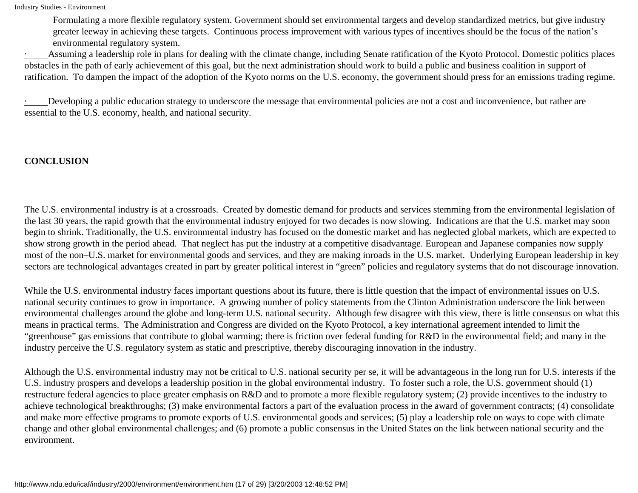Formulating a more flexible regulatory system. Government should set environmental targets and develop standardized metrics, but give industry greater leeway in achieving these targets. Continuous process improvement with various types of incentives should be the focus of the nation's environmental regulatory system.

Assuming a leadership role in plans for dealing with the climate change, including Senate ratification of the Kyoto Protocol. Domestic politics places obstacles in the path of early achievement of this goal, but the next administration should work to build a public and business coalition in support of ratification. To dampen the impact of the adoption of the Kyoto norms on the U.S. economy, the government should press for an emissions trading regime.

· Developing a public education strategy to underscore the message that environmental policies are not a cost and inconvenience, but rather are essential to the U.S. economy, health, and national security.

#### **CONCLUSION**

The U.S. environmental industry is at a crossroads. Created by domestic demand for products and services stemming from the environmental legislation of the last 30 years, the rapid growth that the environmental industry enjoyed for two decades is now slowing. Indications are that the U.S. market may soon begin to shrink. Traditionally, the U.S. environmental industry has focused on the domestic market and has neglected global markets, which are expected to show strong growth in the period ahead. That neglect has put the industry at a competitive disadvantage. European and Japanese companies now supply most of the non–U.S. market for environmental goods and services, and they are making inroads in the U.S. market. Underlying European leadership in key sectors are technological advantages created in part by greater political interest in "green" policies and regulatory systems that do not discourage innovation.

While the U.S. environmental industry faces important questions about its future, there is little question that the impact of environmental issues on U.S. national security continues to grow in importance. A growing number of policy statements from the Clinton Administration underscore the link between environmental challenges around the globe and long-term U.S. national security. Although few disagree with this view, there is little consensus on what this means in practical terms. The Administration and Congress are divided on the Kyoto Protocol, a key international agreement intended to limit the "greenhouse" gas emissions that contribute to global warming; there is friction over federal funding for R&D in the environmental field; and many in the industry perceive the U.S. regulatory system as static and prescriptive, thereby discouraging innovation in the industry.

Although the U.S. environmental industry may not be critical to U.S. national security per se, it will be advantageous in the long run for U.S. interests if the U.S. industry prospers and develops a leadership position in the global environmental industry. To foster such a role, the U.S. government should (1) restructure federal agencies to place greater emphasis on R&D and to promote a more flexible regulatory system; (2) provide incentives to the industry to achieve technological breakthroughs; (3) make environmental factors a part of the evaluation process in the award of government contracts; (4) consolidate and make more effective programs to promote exports of U.S. environmental goods and services; (5) play a leadership role on ways to cope with climate change and other global environmental challenges; and (6) promote a public consensus in the United States on the link between national security and the environment.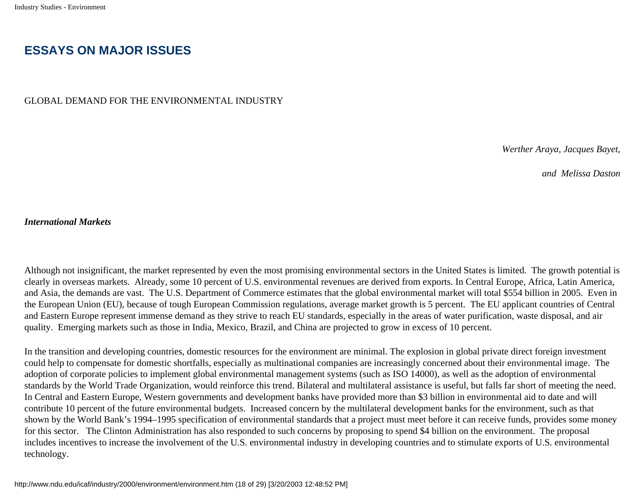# **ESSAYS ON MAJOR ISSUES**

GLOBAL DEMAND FOR THE ENVIRONMENTAL INDUSTRY

 *Werther Araya, Jacques Bayet,* 

*and Melissa Daston* 

#### *International Markets*

Although not insignificant, the market represented by even the most promising environmental sectors in the United States is limited. The growth potential is clearly in overseas markets. Already, some 10 percent of U.S. environmental revenues are derived from exports. In Central Europe, Africa, Latin America, and Asia, the demands are vast. The U.S. Department of Commerce estimates that the global environmental market will total \$554 billion in 2005. Even in the European Union (EU), because of tough European Commission regulations, average market growth is 5 percent. The EU applicant countries of Central and Eastern Europe represent immense demand as they strive to reach EU standards, especially in the areas of water purification, waste disposal, and air quality. Emerging markets such as those in India, Mexico, Brazil, and China are projected to grow in excess of 10 percent.

In the transition and developing countries, domestic resources for the environment are minimal. The explosion in global private direct foreign investment could help to compensate for domestic shortfalls, especially as multinational companies are increasingly concerned about their environmental image. The adoption of corporate policies to implement global environmental management systems (such as ISO 14000), as well as the adoption of environmental standards by the World Trade Organization, would reinforce this trend. Bilateral and multilateral assistance is useful, but falls far short of meeting the need. In Central and Eastern Europe, Western governments and development banks have provided more than \$3 billion in environmental aid to date and will contribute 10 percent of the future environmental budgets. Increased concern by the multilateral development banks for the environment, such as that shown by the World Bank's 1994–1995 specification of environmental standards that a project must meet before it can receive funds, provides some money for this sector. The Clinton Administration has also responded to such concerns by proposing to spend \$4 billion on the environment. The proposal includes incentives to increase the involvement of the U.S. environmental industry in developing countries and to stimulate exports of U.S. environmental technology.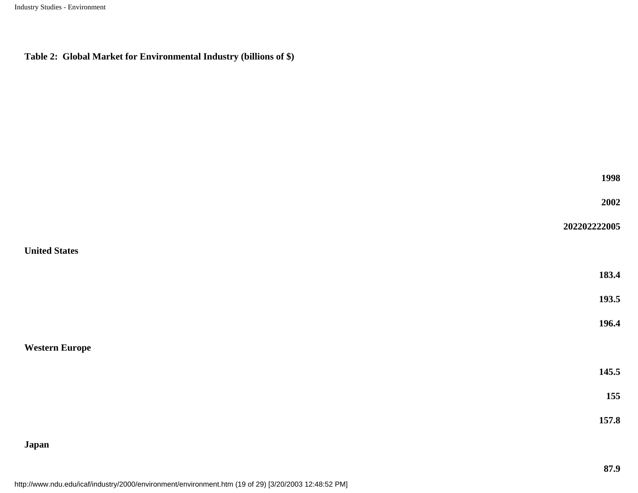#### **Table 2: Global Market for Environmental Industry (billions of \$)**

| 1998 |  |
|------|--|
|      |  |

**2002** 

#### **United States**

| 183.4 |
|-------|
|       |

**202202222005** 

**193.5** 

**196.4** 

**Western Europe** 

**145.5** 

**155** 

**157.8** 

# **Japan**

http://www.ndu.edu/icaf/industry/2000/environment/environment.htm (19 of 29) [3/20/2003 12:48:52 PM]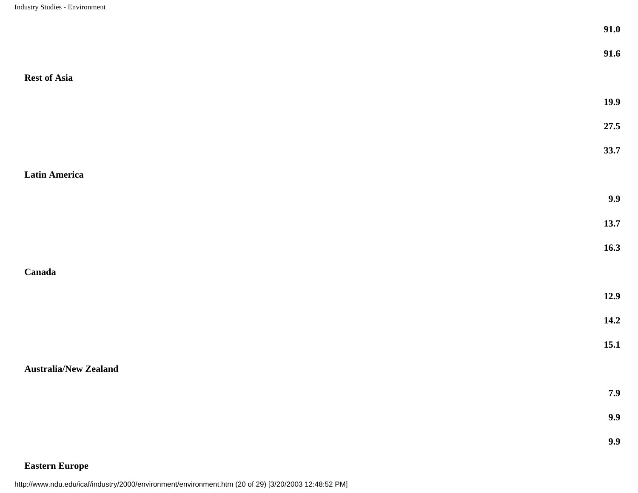|                              | 91.0 |
|------------------------------|------|
|                              | 91.6 |
| <b>Rest of Asia</b>          |      |
|                              | 19.9 |
|                              | 27.5 |
|                              | 33.7 |
| Latin America                |      |
|                              | 9.9  |
|                              | 13.7 |
|                              | 16.3 |
| Canada                       |      |
|                              | 12.9 |
|                              | 14.2 |
|                              | 15.1 |
| <b>Australia/New Zealand</b> |      |
|                              | 7.9  |
|                              | 9.9  |
|                              | 9.9  |

# **Eastern Europe**

http://www.ndu.edu/icaf/industry/2000/environment/environment.htm (20 of 29) [3/20/2003 12:48:52 PM]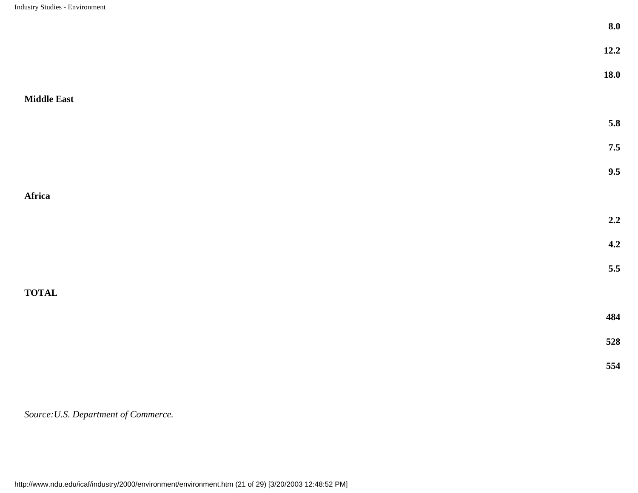|                    | 8.0   |
|--------------------|-------|
|                    | 12.2  |
|                    | 18.0  |
| <b>Middle East</b> |       |
|                    | 5.8   |
|                    | 7.5   |
|                    | 9.5   |
| Africa             |       |
|                    | 2.2   |
|                    | 4.2   |
|                    | $5.5$ |
| <b>TOTAL</b>       |       |
|                    | 484   |
|                    | 528   |
|                    | 554   |

*Source:U.S. Department of Commerce.*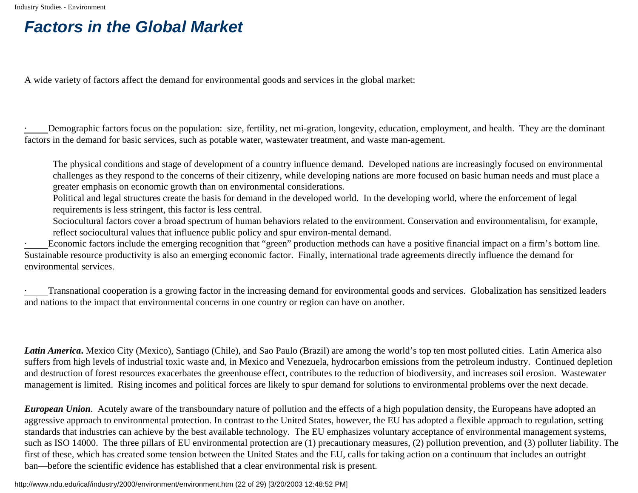# **Factors in the Global Market**

A wide variety of factors affect the demand for environmental goods and services in the global market:

Demographic factors focus on the population: size, fertility, net mi-gration, longevity, education, employment, and health. They are the dominant factors in the demand for basic services, such as potable water, wastewater treatment, and waste man-agement.

The physical conditions and stage of development of a country influence demand. Developed nations are increasingly focused on environmental challenges as they respond to the concerns of their citizenry, while developing nations are more focused on basic human needs and must place a greater emphasis on economic growth than on environmental considerations.

Political and legal structures create the basis for demand in the developed world. In the developing world, where the enforcement of legal requirements is less stringent, this factor is less central.

Sociocultural factors cover a broad spectrum of human behaviors related to the environment. Conservation and environmentalism, for example, reflect sociocultural values that influence public policy and spur environ-mental demand.

Economic factors include the emerging recognition that "green" production methods can have a positive financial impact on a firm's bottom line. Sustainable resource productivity is also an emerging economic factor. Finally, international trade agreements directly influence the demand for environmental services.

· Transnational cooperation is a growing factor in the increasing demand for environmental goods and services. Globalization has sensitized leaders and nations to the impact that environmental concerns in one country or region can have on another.

*Latin America***.** Mexico City (Mexico), Santiago (Chile), and Sao Paulo (Brazil) are among the world's top ten most polluted cities. Latin America also suffers from high levels of industrial toxic waste and, in Mexico and Venezuela, hydrocarbon emissions from the petroleum industry. Continued depletion and destruction of forest resources exacerbates the greenhouse effect, contributes to the reduction of biodiversity, and increases soil erosion. Wastewater management is limited. Rising incomes and political forces are likely to spur demand for solutions to environmental problems over the next decade.

*European Union*. Acutely aware of the transboundary nature of pollution and the effects of a high population density, the Europeans have adopted an aggressive approach to environmental protection. In contrast to the United States, however, the EU has adopted a flexible approach to regulation, setting standards that industries can achieve by the best available technology. The EU emphasizes voluntary acceptance of environmental management systems, such as ISO 14000. The three pillars of EU environmental protection are (1) precautionary measures, (2) pollution prevention, and (3) polluter liability. The first of these, which has created some tension between the United States and the EU, calls for taking action on a continuum that includes an outright ban—before the scientific evidence has established that a clear environmental risk is present.

http://www.ndu.edu/icaf/industry/2000/environment/environment.htm (22 of 29) [3/20/2003 12:48:52 PM]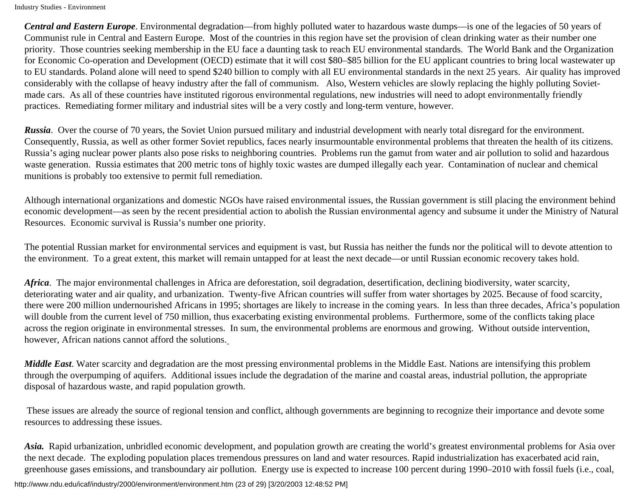*Central and Eastern Europe*. Environmental degradation—from highly polluted water to hazardous waste dumps—is one of the legacies of 50 years of Communist rule in Central and Eastern Europe. Most of the countries in this region have set the provision of clean drinking water as their number one priority. Those countries seeking membership in the EU face a daunting task to reach EU environmental standards. The World Bank and the Organization for Economic Co-operation and Development (OECD) estimate that it will cost \$80–\$85 billion for the EU applicant countries to bring local wastewater up to EU standards. Poland alone will need to spend \$240 billion to comply with all EU environmental standards in the next 25 years. Air quality has improved considerably with the collapse of heavy industry after the fall of communism. Also, Western vehicles are slowly replacing the highly polluting Sovietmade cars. As all of these countries have instituted rigorous environmental regulations, new industries will need to adopt environmentally friendly practices. Remediating former military and industrial sites will be a very costly and long-term venture, however.

*Russia*. Over the course of 70 years, the Soviet Union pursued military and industrial development with nearly total disregard for the environment. Consequently, Russia, as well as other former Soviet republics, faces nearly insurmountable environmental problems that threaten the health of its citizens. Russia's aging nuclear power plants also pose risks to neighboring countries. Problems run the gamut from water and air pollution to solid and hazardous waste generation. Russia estimates that 200 metric tons of highly toxic wastes are dumped illegally each year. Contamination of nuclear and chemical munitions is probably too extensive to permit full remediation.

Although international organizations and domestic NGOs have raised environmental issues, the Russian government is still placing the environment behind economic development—as seen by the recent presidential action to abolish the Russian environmental agency and subsume it under the Ministry of Natural Resources. Economic survival is Russia's number one priority.

The potential Russian market for environmental services and equipment is vast, but Russia has neither the funds nor the political will to devote attention to the environment. To a great extent, this market will remain untapped for at least the next decade—or until Russian economic recovery takes hold.

*Africa*. The major environmental challenges in Africa are deforestation, soil degradation, desertification, declining biodiversity, water scarcity, deteriorating water and air quality, and urbanization. Twenty-five African countries will suffer from water shortages by 2025. Because of food scarcity, there were 200 million undernourished Africans in 1995; shortages are likely to increase in the coming years. In less than three decades, Africa's population will double from the current level of 750 million, thus exacerbating existing environmental problems. Furthermore, some of the conflicts taking place across the region originate in environmental stresses. In sum, the environmental problems are enormous and growing. Without outside intervention, however, African nations cannot afford the solutions.

*Middle East*. Water scarcity and degradation are the most pressing environmental problems in the Middle East. Nations are intensifying this problem through the overpumping of aquifers. Additional issues include the degradation of the marine and coastal areas, industrial pollution, the appropriate disposal of hazardous waste, and rapid population growth.

 These issues are already the source of regional tension and conflict, although governments are beginning to recognize their importance and devote some resources to addressing these issues.

*Asia.* Rapid urbanization, unbridled economic development, and population growth are creating the world's greatest environmental problems for Asia over the next decade. The exploding population places tremendous pressures on land and water resources. Rapid industrialization has exacerbated acid rain, greenhouse gases emissions, and transboundary air pollution. Energy use is expected to increase 100 percent during 1990–2010 with fossil fuels (i.e., coal,

http://www.ndu.edu/icaf/industry/2000/environment/environment.htm (23 of 29) [3/20/2003 12:48:52 PM]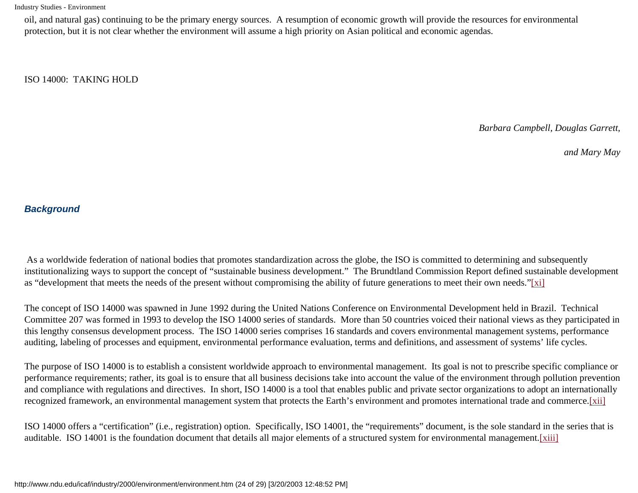oil, and natural gas) continuing to be the primary energy sources. A resumption of economic growth will provide the resources for environmental protection, but it is not clear whether the environment will assume a high priority on Asian political and economic agendas.

ISO 14000: TAKING HOLD

 *Barbara Campbell, Douglas Garrett,* 

*and Mary May*

#### **Background**

 As a worldwide federation of national bodies that promotes standardization across the globe, the ISO is committed to determining and subsequently institutionalizing ways to support the concept of "sustainable business development." The Brundtland Commission Report defined sustainable development as "development that meets the needs of the present without compromising the ability of future generations to meet their own needs.["\[xi\]](#page-27-2)

<span id="page-23-0"></span>The concept of ISO 14000 was spawned in June 1992 during the United Nations Conference on Environmental Development held in Brazil. Technical Committee 207 was formed in 1993 to develop the ISO 14000 series of standards. More than 50 countries voiced their national views as they participated in this lengthy consensus development process. The ISO 14000 series comprises 16 standards and covers environmental management systems, performance auditing, labeling of processes and equipment, environmental performance evaluation, terms and definitions, and assessment of systems' life cycles.

The purpose of ISO 14000 is to establish a consistent worldwide approach to environmental management. Its goal is not to prescribe specific compliance or performance requirements; rather, its goal is to ensure that all business decisions take into account the value of the environment through pollution prevention and compliance with regulations and directives. In short, ISO 14000 is a tool that enables public and private sector organizations to adopt an internationally recognized framework, an environmental management system that protects the Earth's environment and promotes international trade and commerce.[\[xii\]](#page-27-3)

<span id="page-23-2"></span><span id="page-23-1"></span>ISO 14000 offers a "certification" (i.e., registration) option. Specifically, ISO 14001, the "requirements" document, is the sole standard in the series that is auditable. ISO 14001 is the foundation document that details all major elements of a structured system for environmental management.[\[xiii\]](#page-27-4)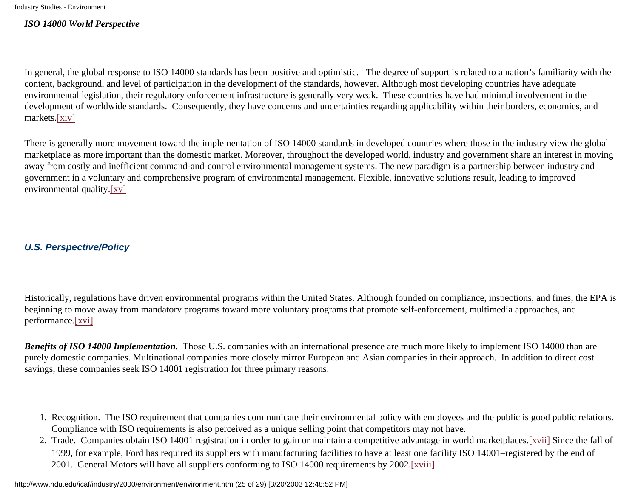#### *ISO 14000 World Perspective*

In general, the global response to ISO 14000 standards has been positive and optimistic. The degree of support is related to a nation's familiarity with the content, background, and level of participation in the development of the standards, however. Although most developing countries have adequate environmental legislation, their regulatory enforcement infrastructure is generally very weak. These countries have had minimal involvement in the development of worldwide standards. Consequently, they have concerns and uncertainties regarding applicability within their borders, economies, and markets.[\[xiv\]](#page-27-5)

<span id="page-24-0"></span>There is generally more movement toward the implementation of ISO 14000 standards in developed countries where those in the industry view the global marketplace as more important than the domestic market. Moreover, throughout the developed world, industry and government share an interest in moving away from costly and inefficient command-and-control environmental management systems. The new paradigm is a partnership between industry and government in a voluntary and comprehensive program of environmental management. Flexible, innovative solutions result, leading to improved environmental quality.[\[xv\]](#page-27-6)

#### <span id="page-24-1"></span>**U.S. Perspective/Policy**

Historically, regulations have driven environmental programs within the United States. Although founded on compliance, inspections, and fines, the EPA is beginning to move away from mandatory programs toward more voluntary programs that promote self-enforcement, multimedia approaches, and performance.[\[xvi\]](#page-27-7)

<span id="page-24-2"></span>*Benefits of ISO 14000 Implementation.* Those U.S. companies with an international presence are much more likely to implement ISO 14000 than are purely domestic companies. Multinational companies more closely mirror European and Asian companies in their approach. In addition to direct cost savings, these companies seek ISO 14001 registration for three primary reasons:

- 1. Recognition. The ISO requirement that companies communicate their environmental policy with employees and the public is good public relations. Compliance with ISO requirements is also perceived as a unique selling point that competitors may not have.
- <span id="page-24-4"></span><span id="page-24-3"></span>2. Trade. Companies obtain ISO 14001 registration in order to gain or maintain a competitive advantage in world marketplaces.[\[xvii\]](#page-27-8) Since the fall of 1999, for example, Ford has required its suppliers with manufacturing facilities to have at least one facility ISO 14001–registered by the end of 2001. General Motors will have all suppliers conforming to ISO 14000 requirements by 2002[.\[xviii\]](#page-27-9)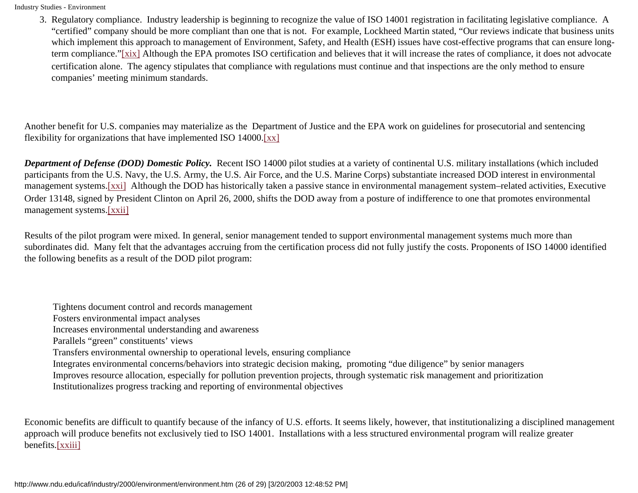<span id="page-25-0"></span>3. Regulatory compliance. Industry leadership is beginning to recognize the value of ISO 14001 registration in facilitating legislative compliance. A "certified" company should be more compliant than one that is not. For example, Lockheed Martin stated, "Our reviews indicate that business units which implement this approach to management of Environment, Safety, and Health (ESH) issues have cost-effective programs that can ensure longterm compliance."[\[xix\]](#page-27-10) Although the EPA promotes ISO certification and believes that it will increase the rates of compliance, it does not advocate certification alone. The agency stipulates that compliance with regulations must continue and that inspections are the only method to ensure companies' meeting minimum standards.

Another benefit for U.S. companies may materialize as the Department of Justice and the EPA work on guidelines for prosecutorial and sentencing flexibility for organizations that have implemented ISO 14000[.\[xx\]](#page-27-11)

<span id="page-25-2"></span><span id="page-25-1"></span>*Department of Defense (DOD) Domestic Policy.* Recent ISO 14000 pilot studies at a variety of continental U.S. military installations (which included participants from the U.S. Navy, the U.S. Army, the U.S. Air Force, and the U.S. Marine Corps) substantiate increased DOD interest in environmental management systems.[\[xxi\]](#page-27-12) Although the DOD has historically taken a passive stance in environmental management system–related activities, Executive Order 13148, signed by President Clinton on April 26, 2000, shifts the DOD away from a posture of indifference to one that promotes environmental management systems.[\[xxii\]](#page-27-13)

<span id="page-25-3"></span>Results of the pilot program were mixed. In general, senior management tended to support environmental management systems much more than subordinates did. Many felt that the advantages accruing from the certification process did not fully justify the costs. Proponents of ISO 14000 identified the following benefits as a result of the DOD pilot program:

Tightens document control and records management

Fosters environmental impact analyses

Increases environmental understanding and awareness

Parallels "green" constituents' views

Transfers environmental ownership to operational levels, ensuring compliance

Integrates environmental concerns/behaviors into strategic decision making, promoting "due diligence" by senior managers

Improves resource allocation, especially for pollution prevention projects, through systematic risk management and prioritization

Institutionalizes progress tracking and reporting of environmental objectives

<span id="page-25-4"></span>Economic benefits are difficult to quantify because of the infancy of U.S. efforts. It seems likely, however, that institutionalizing a disciplined management approach will produce benefits not exclusively tied to ISO 14001. Installations with a less structured environmental program will realize greater benefits.[\[xxiii\]](#page-27-14)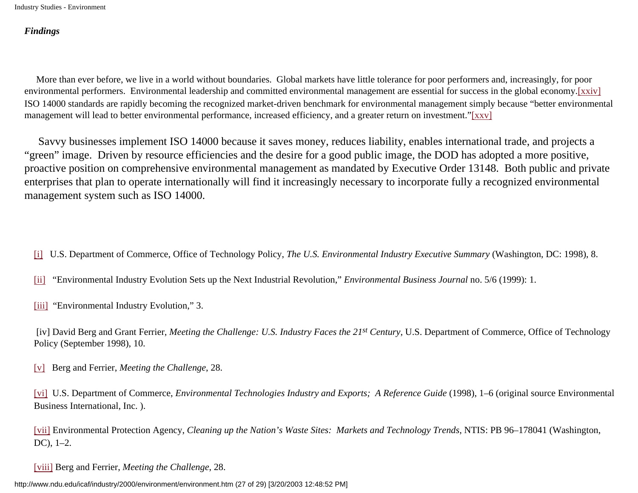#### *Findings*

<span id="page-26-8"></span> More than ever before, we live in a world without boundaries. Global markets have little tolerance for poor performers and, increasingly, for poor environmental performers. Environmental leadership and committed environmental management are essential for success in the global economy.[xxiv] ISO 14000 standards are rapidly becoming the recognized market-driven benchmark for environmental management simply because "better environmental management will lead to better environmental performance, increased efficiency, and a greater return on investment."[xxv]

<span id="page-26-9"></span> Savvy businesses implement ISO 14000 because it saves money, reduces liability, enables international trade, and projects a "green" image. Driven by resource efficiencies and the desire for a good public image, the DOD has adopted a more positive, proactive position on comprehensive environmental management as mandated by Executive Order 13148. Both public and private enterprises that plan to operate internationally will find it increasingly necessary to incorporate fully a recognized environmental management system such as ISO 14000.

<span id="page-26-0"></span>[\[i\]](#page-6-0) U.S. Department of Commerce, Office of Technology Policy, *The U.S. Environmental Industry Executive Summary* (Washington, DC: 1998), 8.

<span id="page-26-1"></span>[\[ii\]](#page-6-1) "Environmental Industry Evolution Sets up the Next Industrial Revolution," *Environmental Business Journal* no. 5/6 (1999): 1.

<span id="page-26-2"></span>[\[iii\]](#page-6-2) "Environmental Industry Evolution," 3.

<span id="page-26-3"></span> [iv] David Berg and Grant Ferrier, *Meeting the Challenge: U.S. Industry Faces the 21st Century*, U.S. Department of Commerce, Office of Technology Policy (September 1998), 10.

<span id="page-26-4"></span>[\[v\]](#page-8-0) Berg and Ferrier, *Meeting the Challenge*, 28.

<span id="page-26-5"></span>[\[vi\]](#page-8-1) U.S. Department of Commerce, *Environmental Technologies Industry and Exports; A Reference Guide* (1998), 1–6 (original source Environmental Business International, Inc. ).

<span id="page-26-6"></span>[\[vii\]](#page-8-2) Environmental Protection Agency, *Cleaning up the Nation's Waste Sites: Markets and Technology Trends*, NTIS: PB 96–178041 (Washington, DC), 1–2.

[\[viii\]](#page-10-0) Berg and Ferrier, *Meeting the Challenge*, 28.

<span id="page-26-7"></span>http://www.ndu.edu/icaf/industry/2000/environment/environment.htm (27 of 29) [3/20/2003 12:48:52 PM]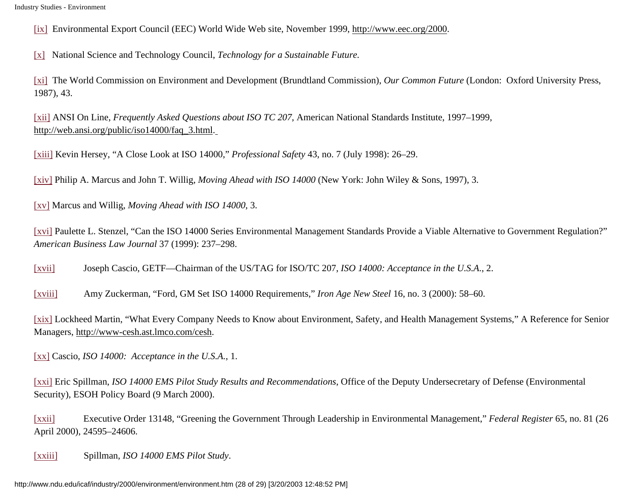<span id="page-27-0"></span>[\[ix\]](#page-11-0) Environmental Export Council (EEC) World Wide Web site, November 1999, http://www.eec.org/2000.

<span id="page-27-1"></span>[\[x\]](#page-12-0) National Science and Technology Council, *Technology for a Sustainable Future.*

<span id="page-27-2"></span>[\[xi\]](#page-23-0) The World Commission on Environment and Development (Brundtland Commission), *Our Common Future* (London: Oxford University Press, 1987), 43.

<span id="page-27-3"></span>[\[xii\]](#page-23-1) ANSI On Line, *Frequently Asked Questions about ISO TC 207*, American National Standards Institute, 1997–1999, http://web.ansi.org/public/iso14000/faq\_3.html.

<span id="page-27-4"></span>[\[xiii\]](#page-23-2) Kevin Hersey, "A Close Look at ISO 14000," *Professional Safety* 43, no. 7 (July 1998): 26–29.

<span id="page-27-5"></span>[\[xiv\]](#page-24-0) Philip A. Marcus and John T. Willig, *Moving Ahead with ISO 14000* (New York: John Wiley & Sons, 1997), 3.

<span id="page-27-6"></span>[\[xv\]](#page-24-1) Marcus and Willig, *Moving Ahead with ISO 14000*, 3.

<span id="page-27-7"></span>[\[xvi\]](#page-24-2) Paulette L. Stenzel, "Can the ISO 14000 Series Environmental Management Standards Provide a Viable Alternative to Government Regulation?" *American Business Law Journal* 37 (1999): 237–298.

<span id="page-27-8"></span>[\[xvii\]](#page-24-3) Joseph Cascio, GETF—Chairman of the US/TAG for ISO/TC 207, *ISO 14000: Acceptance in the U.S.A*., 2.

<span id="page-27-9"></span>[\[xviii\]](#page-24-4) Amy Zuckerman, "Ford, GM Set ISO 14000 Requirements," *Iron Age New Steel* 16, no. 3 (2000): 58–60.

<span id="page-27-10"></span>[\[xix\]](#page-25-0) Lockheed Martin, "What Every Company Needs to Know about Environment, Safety, and Health Management Systems," A Reference for Senior Managers, http://www-cesh.ast.lmco.com/cesh.

<span id="page-27-11"></span>[\[xx\]](#page-25-1) Cascio, *ISO 14000: Acceptance in the U.S.A.*, 1.

<span id="page-27-12"></span>[\[xxi\]](#page-25-2) Eric Spillman, *ISO 14000 EMS Pilot Study Results and Recommendations*, Office of the Deputy Undersecretary of Defense (Environmental Security), ESOH Policy Board (9 March 2000).

<span id="page-27-13"></span>[\[xxii\]](#page-25-3) Executive Order 13148, "Greening the Government Through Leadership in Environmental Management," *Federal Register* 65, no. 81 (26 April 2000), 24595–24606.

<span id="page-27-15"></span><span id="page-27-14"></span>[\[xxiii\]](#page-25-4) Spillman, *ISO 14000 EMS Pilot Study*.